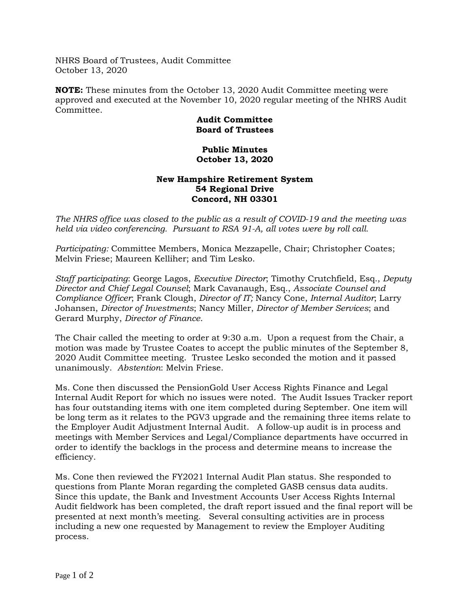NHRS Board of Trustees, Audit Committee October 13, 2020

**NOTE:** These minutes from the October 13, 2020 Audit Committee meeting were approved and executed at the November 10, 2020 regular meeting of the NHRS Audit Committee.

## **Audit Committee Board of Trustees**

## **Public Minutes October 13, 2020**

## **New Hampshire Retirement System 54 Regional Drive Concord, NH 03301**

*The NHRS office was closed to the public as a result of COVID-19 and the meeting was held via video conferencing. Pursuant to RSA 91-A, all votes were by roll call.*

*Participating:* Committee Members, Monica Mezzapelle, Chair; Christopher Coates; Melvin Friese; Maureen Kelliher; and Tim Lesko.

*Staff participating*: George Lagos, *Executive Director*; Timothy Crutchfield, Esq., *Deputy Director and Chief Legal Counsel*; Mark Cavanaugh, Esq., *Associate Counsel and Compliance Officer*; Frank Clough, *Director of IT;* Nancy Cone, *Internal Auditor*; Larry Johansen, *Director of Investments*; Nancy Miller, *Director of Member Services*; and Gerard Murphy, *Director of Finance*.

The Chair called the meeting to order at 9:30 a.m. Upon a request from the Chair, a motion was made by Trustee Coates to accept the public minutes of the September 8, 2020 Audit Committee meeting. Trustee Lesko seconded the motion and it passed unanimously. *Abstention*: Melvin Friese.

Ms. Cone then discussed the PensionGold User Access Rights Finance and Legal Internal Audit Report for which no issues were noted. The Audit Issues Tracker report has four outstanding items with one item completed during September. One item will be long term as it relates to the PGV3 upgrade and the remaining three items relate to the Employer Audit Adjustment Internal Audit. A follow-up audit is in process and meetings with Member Services and Legal/Compliance departments have occurred in order to identify the backlogs in the process and determine means to increase the efficiency.

Ms. Cone then reviewed the FY2021 Internal Audit Plan status. She responded to questions from Plante Moran regarding the completed GASB census data audits. Since this update, the Bank and Investment Accounts User Access Rights Internal Audit fieldwork has been completed, the draft report issued and the final report will be presented at next month's meeting. Several consulting activities are in process including a new one requested by Management to review the Employer Auditing process.